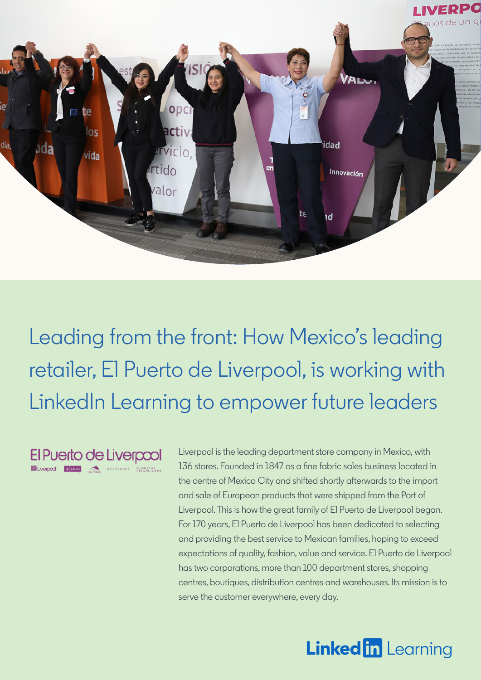

Leading from the front: How Mexico's leading retailer, El Puerto de Liverpool, is working with LinkedIn Learning to empower future leaders

El Puerto de Liverpool EVERY CONTROL CONTROLLER AND DESCRIPTIONS

Liverpool is the leading department store company in Mexico, with 136 stores. Founded in 1847 as a fine fabric sales business located in the centre of Mexico City and shifted shortly afterwards to the import and sale of European products that were shipped from the Port of Liverpool. This is how the great family of El Puerto de Liverpool began. For 170 years, El Puerto de Liverpool has been dedicated to selecting and providing the best service to Mexican families, hoping to exceed expectations of quality, fashion, value and service. El Puerto de Liverpool has two corporations, more than 100 department stores, shopping centres, boutiques, distribution centres and warehouses. Its mission is to serve the customer everywhere, every day.

# **Linked in Learning**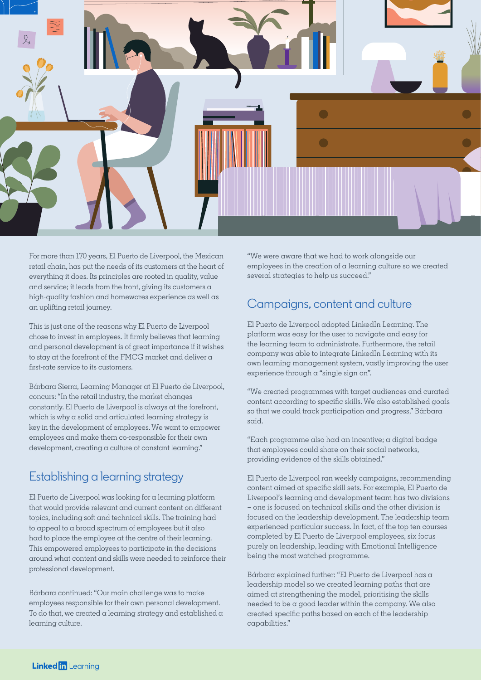

For more than 170 years, El Puerto de Liverpool, the Mexican retail chain, has put the needs of its customers at the heart of everything it does. Its principles are rooted in quality, value and service; it leads from the front, giving its customers  $\alpha$ high-quality fashion and homewares experience as well as an uplifting retail journey.

This is just one of the reasons why El Puerto de Liverpool chose to invest in employees. It firmly believes that learning and personal development is of great importance if it wishes to stay at the forefront of the FMCG market and deliver a first-rate service to its customers.

Bárbara Sierra, Learning Manager at El Puerto de Liverpool, concurs: "In the retail industry, the market changes constantly. El Puerto de Liverpool is always at the forefront, which is why a solid and articulated learning strategy is key in the development of employees. We want to empower employees and make them co-responsible for their own development, creating a culture of constant learning."

# Establishing a learning strategy

El Puerto de Liverpool was looking for a learning platform that would provide relevant and current content on different topics, including soft and technical skills. The training had to appeal to a broad spectrum of employees but it also had to place the employee at the centre of their learning. This empowered employees to participate in the decisions around what content and skills were needed to reinforce their professional development.

Bárbara continued: "Our main challenge was to make employees responsible for their own personal development. To do that, we created a learning strategy and established a learning culture.

"We were aware that we had to work alongside our employees in the creation of a learning culture so we created several strategies to help us succeed."

#### Campaigns, content and culture

El Puerto de Liverpool adopted LinkedIn Learning. The platform was easy for the user to navigate and easy for the learning team to administrate. Furthermore, the retail company was able to integrate LinkedIn Learning with its own learning management system, vastly improving the user experience through a "single sign on".

"We created programmes with target audiences and curated content according to specific skills. We also established goals so that we could track participation and progress," Bárbara said.

"Each programme also had an incentive; a digital badge that employees could share on their social networks, providing evidence of the skills obtained."

El Puerto de Liverpool ran weekly campaigns, recommending content aimed at specific skill sets. For example, El Puerto de Liverpool's learning and development team has two divisions – one is focused on technical skills and the other division is focused on the leadership development. The leadership team experienced particular success. In fact, of the top ten courses completed by El Puerto de Liverpool employees, six focus purely on leadership, leading with Emotional Intelligence being the most watched programme.

Bárbara explained further: "El Puerto de Liverpool has a leadership model so we created learning paths that are aimed at strengthening the model, prioritising the skills needed to be a good leader within the company. We also created specific paths based on each of the leadership capabilities."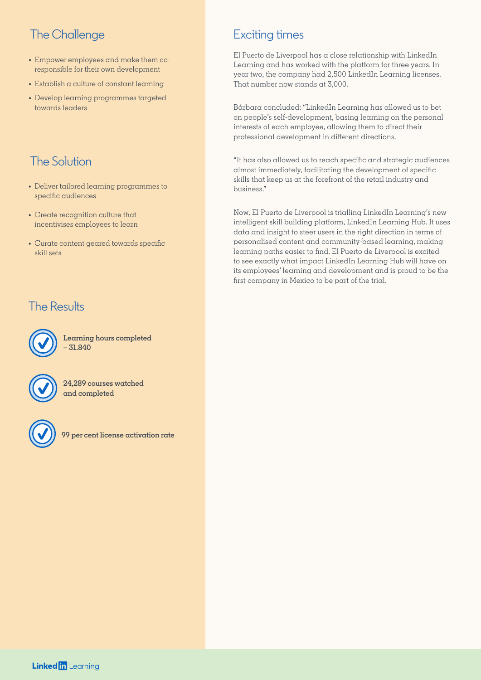# The Challenge

- **•** Empower employees and make them coresponsible for their own development
- **•** Establish a culture of constant learning
- **•** Develop learning programmes targeted towards leaders

# The Solution

- **•** Deliver tailored learning programmes to specific audiences
- **•** Create recognition culture that incentivises employees to learn
- **•** Curate content geared towards specific skill sets

#### The Results



**Learning hours completed – 31.840**



**24,289 courses watched and completed**



**99 per cent license activation rate**

# Exciting times

El Puerto de Liverpool has a close relationship with LinkedIn Learning and has worked with the platform for three years. In year two, the company had 2,500 LinkedIn Learning licenses. That number now stands at 3,000.

Bárbara concluded: "LinkedIn Learning has allowed us to bet on people's self-development, basing learning on the personal interests of each employee, allowing them to direct their professional development in different directions.

"It has also allowed us to reach specific and strategic audiences almost immediately, facilitating the development of specific skills that keep us at the forefront of the retail industry and business."

Now, El Puerto de Liverpool is trialling LinkedIn Learning's new intelligent skill building platform, LinkedIn Learning Hub. It uses data and insight to steer users in the right direction in terms of personalised content and community-based learning, making learning paths easier to find. El Puerto de Liverpool is excited to see exactly what impact LinkedIn Learning Hub will have on its employees' learning and development and is proud to be the first company in Mexico to be part of the trial.